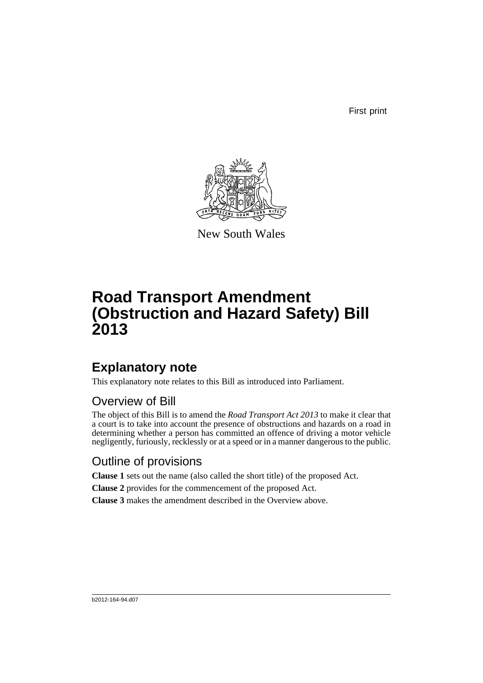First print



New South Wales

# **Road Transport Amendment (Obstruction and Hazard Safety) Bill 2013**

## **Explanatory note**

This explanatory note relates to this Bill as introduced into Parliament.

#### Overview of Bill

The object of this Bill is to amend the *Road Transport Act 2013* to make it clear that a court is to take into account the presence of obstructions and hazards on a road in determining whether a person has committed an offence of driving a motor vehicle negligently, furiously, recklessly or at a speed or in a manner dangerous to the public.

#### Outline of provisions

**Clause 1** sets out the name (also called the short title) of the proposed Act.

**Clause 2** provides for the commencement of the proposed Act.

**Clause 3** makes the amendment described in the Overview above.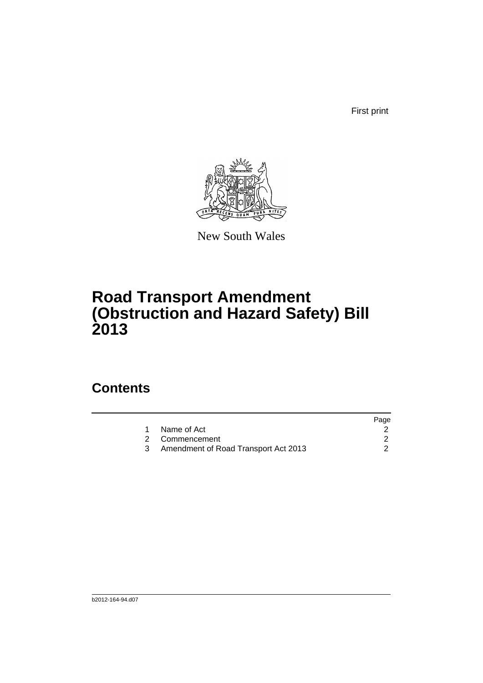First print



New South Wales

# **Road Transport Amendment (Obstruction and Hazard Safety) Bill 2013**

### **Contents**

|                                      | Page           |
|--------------------------------------|----------------|
| Name of Act                          |                |
|                                      |                |
| Amendment of Road Transport Act 2013 |                |
|                                      | 2 Commencement |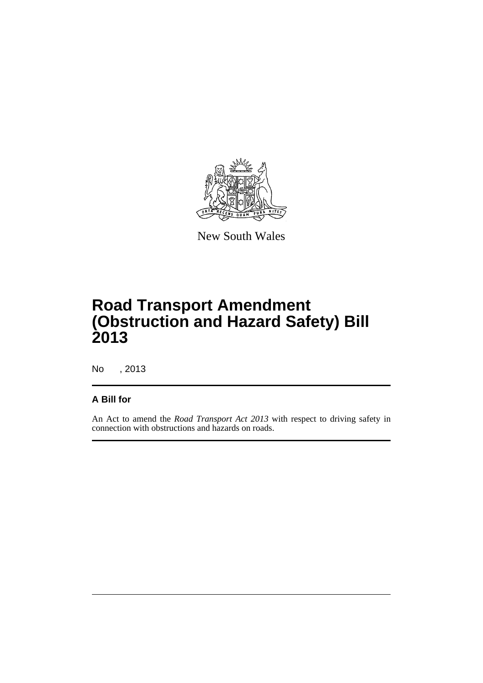

New South Wales

# **Road Transport Amendment (Obstruction and Hazard Safety) Bill 2013**

No , 2013

#### **A Bill for**

An Act to amend the *Road Transport Act 2013* with respect to driving safety in connection with obstructions and hazards on roads.